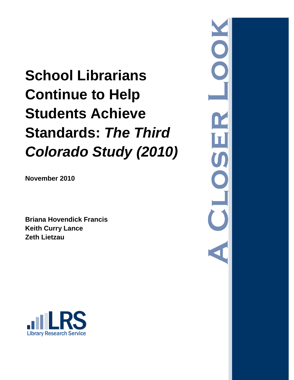# **School Librarians Continue to Help Students Achieve Standards:** *The Third Colorado Study (2010)*

**November 2010**

**Briana Hovendick Francis Keith Curry Lance Zeth Lietzau**



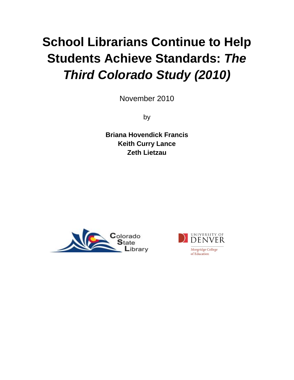# **School Librarians Continue to Help Students Achieve Standards:** *The Third Colorado Study (2010)*

November 2010

by

**Briana Hovendick Francis Keith Curry Lance Zeth Lietzau**



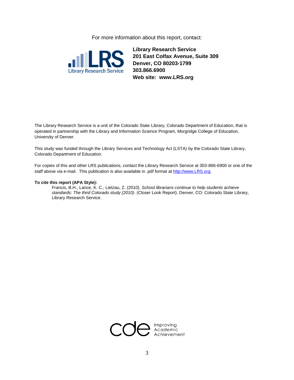For more information about this report, contact:



**Library Research Service 201 East Colfax Avenue, Suite 309 Denver, CO 80203-1799 303.866.6900 Web site: www.LRS.org**

The Library Research Service is a unit of the Colorado State Library, Colorado Department of Education, that is operated in partnership with the Library and Information Science Program, Morgridge College of Education, University of Denver.

This study was funded through the Library Services and Technology Act (LSTA) by the Colorado State Library, Colorado Department of Education.

For copies of this and other LRS publications, contact the Library Research Service at 303-866-6900 or one of the staff above via e-mail. This publication is also available in .pdf format a[t http://www.LRS.org.](http://www.lrs.org/)

#### **To cite this report (APA Style):**

Francis, B.H., Lance, K. C., Lietzau, Z. (2010). *School librarians continue to help students achieve standards: The third Colorado study (2010)*. (Closer Look Report). Denver, CO: Colorado State Library, Library Research Service.

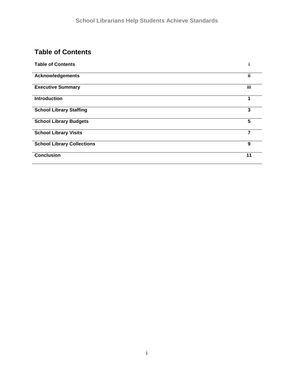# **Table of Contents**

| <b>Table of Contents</b>          |                         |
|-----------------------------------|-------------------------|
| <b>Acknowledgements</b>           | ii                      |
| <b>Executive Summary</b>          | iii                     |
| <b>Introduction</b>               | ٩                       |
| <b>School Library Staffing</b>    | 3                       |
| <b>School Library Budgets</b>     | $\overline{\mathbf{5}}$ |
| <b>School Library Visits</b>      | 7                       |
| <b>School Library Collections</b> | 9                       |
| <b>Conclusion</b>                 | 11                      |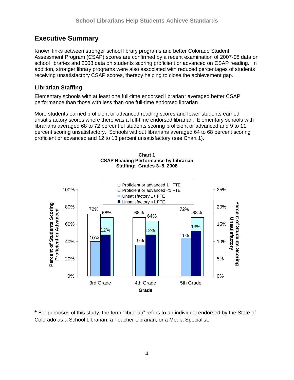# **Executive Summary**

Known links between stronger school library programs and better Colorado Student Assessment Program (CSAP) scores are confirmed by a recent examination of 2007-08 data on school libraries and 2008 data on students scoring proficient or advanced on CSAP reading. In addition, stronger library programs were also associated with reduced percentages of students receiving unsatisfactory CSAP scores, thereby helping to close the achievement gap.

## **Librarian Staffing**

Elementary schools with at least one full-time endorsed librarian\* averaged better CSAP performance than those with less than one full-time endorsed librarian.

More students earned proficient or advanced reading scores and fewer students earned unsatisfactory scores where there was a full-time endorsed librarian. Elementary schools with librarians averaged 68 to 72 percent of students scoring proficient or advanced and 9 to 11 percent scoring unsatisfactory. Schools without librarians averaged 64 to 68 percent scoring proficient or advanced and 12 to 13 percent unsatisfactory (see Chart 1).



**Chart 1 CSAP Reading Performance by Librarian Staffing: Grades 3–5, 2008**

\* For purposes of this study, the term "librarian" refers to an individual endorsed by the State of Colorado as a School Librarian, a Teacher Librarian, or a Media Specialist.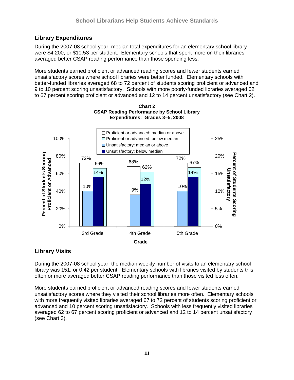## **Library Expenditures**

During the 2007-08 school year, median total expenditures for an elementary school library were \$4,200, or \$10.53 per student. Elementary schools that spent more on their libraries averaged better CSAP reading performance than those spending less.

More students earned proficient or advanced reading scores and fewer students earned unsatisfactory scores where school libraries were better funded. Elementary schools with better-funded libraries averaged 68 to 72 percent of students scoring proficient or advanced and 9 to 10 percent scoring unsatisfactory. Schools with more poorly-funded libraries averaged 62 to 67 percent scoring proficient or advanced and 12 to 14 percent unsatisfactory (see Chart 2).



**Chart 2 CSAP Reading Performance by School Library Expenditures: Grades 3–5, 2008**

## **Library Visits**

During the 2007-08 school year, the median weekly number of visits to an elementary school library was 151, or 0.42 per student. Elementary schools with libraries visited by students this often or more averaged better CSAP reading performance than those visited less often.

More students earned proficient or advanced reading scores and fewer students earned unsatisfactory scores where they visited their school libraries more often. Elementary schools with more frequently visited libraries averaged 67 to 72 percent of students scoring proficient or advanced and 10 percent scoring unsatisfactory. Schools with less frequently visited libraries averaged 62 to 67 percent scoring proficient or advanced and 12 to 14 percent unsatisfactory (see Chart 3).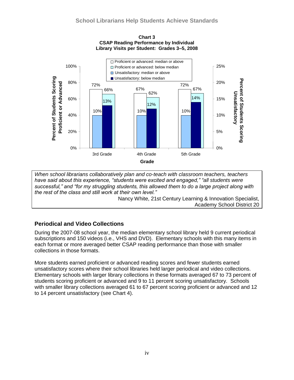

**Chart 3 CSAP Reading Performance by Individual Library Visits per Student: Grades 3–5, 2008**

*When school librarians collaboratively plan and co-teach with classroom teachers, teachers have said about this experience, "students were excited and engaged," "all students were successful," and "for my struggling students, this allowed them to do a large project along with the rest of the class and still work at their own level."*

Nancy White, 21st Century Learning & Innovation Specialist, Academy School District 20

## **Periodical and Video Collections**

During the 2007-08 school year, the median elementary school library held 9 current periodical subscriptions and 150 videos (i.e., VHS and DVD). Elementary schools with this many items in each format or more averaged better CSAP reading performance than those with smaller collections in those formats.

More students earned proficient or advanced reading scores and fewer students earned unsatisfactory scores where their school libraries held larger periodical and video collections. Elementary schools with larger library collections in these formats averaged 67 to 73 percent of students scoring proficient or advanced and 9 to 11 percent scoring unsatisfactory. Schools with smaller library collections averaged 61 to 67 percent scoring proficient or advanced and 12 to 14 percent unsatisfactory (see Chart 4).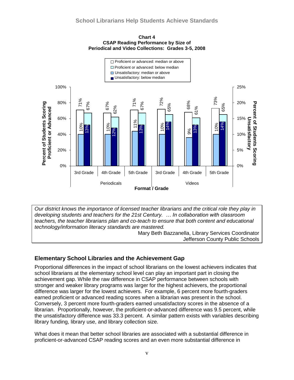



*Our district knows the importance of licensed teacher librarians and the critical role they play in developing students and teachers for the 21st Century. … In collaboration with classroom teachers, the teacher librarians plan and co-teach to ensure that both content and educational technology/information literacy standards are mastered.* 

Mary Beth Bazzanella, Library Services Coordinator Jefferson County Public Schools

## **Elementary School Libraries and the Achievement Gap**

Proportional differences in the impact of school librarians on the lowest achievers indicates that school librarians at the elementary school level can play an important part in closing the achievement gap. While the raw difference in CSAP performance between schools with stronger and weaker library programs was larger for the highest achievers, the proportional difference was larger for the lowest achievers. For example, 6 percent more fourth-graders earned proficient or advanced reading scores when a librarian was present in the school. Conversely, 3 percent more fourth-graders earned unsatisfactory scores in the absence of a librarian. Proportionally, however, the proficient-or-advanced difference was 9.5 percent, while the unsatisfactory difference was 33.3 percent. A similar pattern exists with variables describing library funding, library use, and library collection size.

What does it mean that better school libraries are associated with a substantial difference in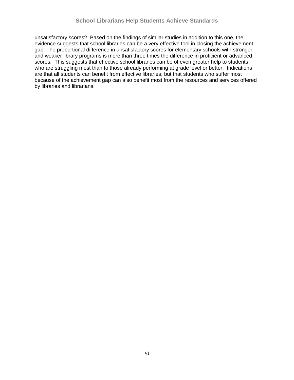unsatisfactory scores? Based on the findings of similar studies in addition to this one, the evidence suggests that school libraries can be a very effective tool in closing the achievement gap. The proportional difference in unsatisfactory scores for elementary schools with stronger and weaker library programs is more than three times the difference in proficient or advanced scores. This suggests that effective school libraries can be of even greater help to students who are struggling most than to those already performing at grade level or better. Indications are that all students can benefit from effective libraries, but that students who suffer most because of the achievement gap can also benefit most from the resources and services offered by libraries and librarians.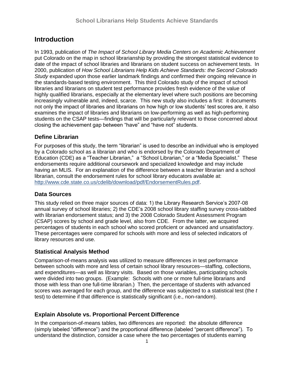## **Introduction**

In 1993, publication of *The Impact of School Library Media Centers on Academic Achievement*  put Colorado on the map in school librarianship by providing the strongest statistical evidence to date of the impact of school libraries and librarians on student success on achievement tests. In 2000, publication of *How School Librarians Help Kids Achieve Standards: the Second Colorado Study* expanded upon those earlier landmark findings and confirmed their ongoing relevance in the standards-based testing environment. This third Colorado study of the impact of school libraries and librarians on student test performance provides fresh evidence of the value of highly qualified librarians, especially at the elementary level where such positions are becoming increasingly vulnerable and, indeed, scarce. This new study also includes a first: it documents not only the impact of libraries and librarians on how high or low students' test scores are, it also examines the impact of libraries and librarians on low-performing as well as high-performing students on the CSAP tests—findings that will be particularly relevant to those concerned about closing the achievement gap between "have" and "have not" students.

## **Define Librarian**

For purposes of this study, the term "librarian" is used to describe an individual who is employed by a Colorado school as a librarian and who is endorsed by the Colorado Department of Education (CDE) as a "Teacher Librarian," a "School Librarian," or a "Media Specialist." These endorsements require additional coursework and specialized knowledge and may include having an MLIS. For an explanation of the difference between a teacher librarian and a school librarian, consult the endorsement rules for school library educators available at: [http://www.cde.state.co.us/cdelib/download/pdf/EndorsementRules.pdf.](http://www.cde.state.co.us/cdelib/download/pdf/EndorsementRules.pdf)

### **Data Sources**

This study relied on three major sources of data: 1) the Library Research Service's 2007-08 annual survey of school libraries; 2) the CDE's 2008 school library staffing survey cross-tabbed with librarian endorsement status; and 3) the 2008 Colorado Student Assessment Program (CSAP) scores by school and grade level, also from CDE. From the latter, we acquired percentages of students in each school who scored proficient or advanced and unsatisfactory. These percentages were compared for schools with more and less of selected indicators of library resources and use.

## **Statistical Analysis Method**

Comparison-of-means analysis was utilized to measure differences in test performance between schools with more and less of certain school library resources—staffing, collections, and expenditures—as well as library visits. Based on those variables, participating schools were divided into two groups. (Example: Schools with one or more full-time librarians and those with less than one full-time librarian.) Then, the percentage of students with advanced scores was averaged for each group, and the difference was subjected to a statistical test (the *t* test) to determine if that difference is statistically significant (i.e., non-random).

## **Explain Absolute vs. Proportional Percent Difference**

In the comparison-of-means tables, two differences are reported: the absolute difference (simply labeled "difference") and the proportional difference (labeled "percent difference"). To understand the distinction, consider a case where the two percentages of students earning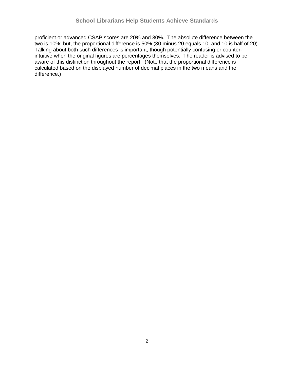proficient or advanced CSAP scores are 20% and 30%. The absolute difference between the two is 10%; but, the proportional difference is 50% (30 minus 20 equals 10, and 10 is half of 20). Talking about both such differences is important, though potentially confusing or counterintuitive when the original figures are percentages themselves. The reader is advised to be aware of this distinction throughout the report. (Note that the proportional difference is calculated based on the displayed number of decimal places in the two means and the difference.)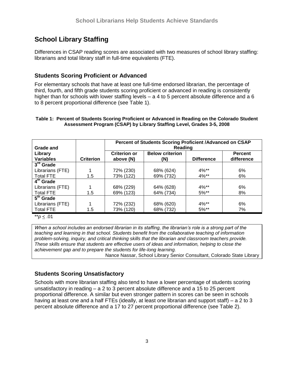# **School Library Staffing**

Differences in CSAP reading scores are associated with two measures of school library staffing: librarians and total library staff in full-time equivalents (FTE).

## **Students Scoring Proficient or Advanced**

For elementary schools that have at least one full-time endorsed librarian, the percentage of third, fourth, and fifth grade students scoring proficient or advanced in reading is consistently higher than for schools with lower staffing levels – a 4 to 5 percent absolute difference and a 6 to 8 percent proportional difference (see Table 1).

#### **Table 1: Percent of Students Scoring Proficient or Advanced in Reading on the Colorado Student Assessment Program (CSAP) by Library Staffing Level, Grades 3-5, 2008**

|                       |                  | Percent of Students Scoring Proficient / Advanced on CSAP |                        |                   |                |  |  |  |  |
|-----------------------|------------------|-----------------------------------------------------------|------------------------|-------------------|----------------|--|--|--|--|
| Grade and             |                  | Reading                                                   |                        |                   |                |  |  |  |  |
| Library               |                  | <b>Criterion or</b>                                       | <b>Below criterion</b> |                   | <b>Percent</b> |  |  |  |  |
| <b>Variables</b>      | <b>Criterion</b> | above (N)                                                 | (N)                    | <b>Difference</b> | difference     |  |  |  |  |
| $3rd$ Grade           |                  |                                                           |                        |                   |                |  |  |  |  |
| Librarians (FTE)      |                  | 72% (230)                                                 | 68% (624)              | $4\%**$           | 6%             |  |  |  |  |
| <b>Total FTE</b>      | 1.5              | 73% (122)                                                 | 69% (732)              | 4%**              | 6%             |  |  |  |  |
| 4 <sup>th</sup> Grade |                  |                                                           |                        |                   |                |  |  |  |  |
| Librarians (FTE)      |                  | 68% (229)                                                 | 64% (628)              | $4\%**$           | 6%             |  |  |  |  |
| <b>Total FTE</b>      | 1.5              | 69% (123)                                                 | 64% (734)              | $5\%**$           | 8%             |  |  |  |  |
| $5th$ Grade           |                  |                                                           |                        |                   |                |  |  |  |  |
| Librarians (FTE)      | 1                | 72% (232)                                                 | 68% (620)              | $4\%**$           | 6%             |  |  |  |  |
| <b>Total FTE</b>      | 1.5              | 73% (120)                                                 | 68% (732)              | $5\%**$           | 7%             |  |  |  |  |

\*\**p* < .01

*When a school includes an endorsed librarian in its staffing, the librarian's role is a strong part of the teaching and learning in that school. Students benefit from the collaborative teaching of information problem-solving, inquiry, and critical thinking skills that the librarian and classroom teachers provide. These skills ensure that students are effective users of ideas and information, helping to close the achievement gap and to prepare the students for life-long learning.* Nance Nassar, School Library Senior Consultant, Colorado State Library

## **Students Scoring Unsatisfactory**

Schools with more librarian staffing also tend to have a lower percentage of students scoring unsatisfactory in reading – a 2 to 3 percent absolute difference and a 15 to 25 percent proportional difference. A similar but even stronger pattern in scores can be seen in schools having at least one and a half FTEs (ideally, at least one librarian and support staff) – a 2 to 3 percent absolute difference and a 17 to 27 percent proportional difference (see Table 2).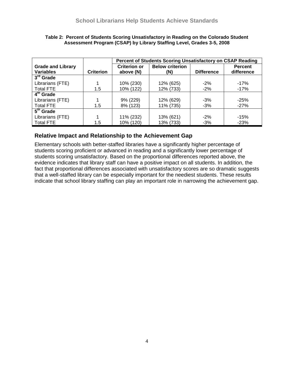|                                      |                  | Percent of Students Scoring Unsatisfactory on CSAP Reading |                        |                   |                |  |  |
|--------------------------------------|------------------|------------------------------------------------------------|------------------------|-------------------|----------------|--|--|
| <b>Grade and Library</b>             |                  | <b>Criterion or</b>                                        | <b>Below criterion</b> |                   | <b>Percent</b> |  |  |
| <b>Variables</b>                     | <b>Criterion</b> | above (N)                                                  | (N)                    | <b>Difference</b> | difference     |  |  |
| $3^{\overline{r}\overline{d}}$ Grade |                  |                                                            |                        |                   |                |  |  |
| Librarians (FTE)                     |                  | 10% (230)                                                  | 12% (625)              | $-2%$             | $-17%$         |  |  |
| <b>Total FTE</b>                     | 1.5              | 10% (122)                                                  | 12% (733)              | $-2%$             | $-17%$         |  |  |
| $\overline{4^{th}}$ Grade            |                  |                                                            |                        |                   |                |  |  |
| Librarians (FTE)                     |                  | 9% (229)                                                   | 12% (629)              | $-3%$             | $-25%$         |  |  |
| <b>Total FTE</b>                     | 1.5              | 8% (123)                                                   | 11% (735)              | $-3%$             | $-27%$         |  |  |
| $\overline{5}^{\text{th}}$ Grade     |                  |                                                            |                        |                   |                |  |  |
| Librarians (FTE)                     |                  | 11% (232)                                                  | 13% (621)              | $-2%$             | $-15%$         |  |  |
| <b>Total FTE</b>                     | 1.5              | 10% (120)                                                  | 13% (733)              | $-3%$             | $-23%$         |  |  |

#### **Table 2: Percent of Students Scoring Unsatisfactory in Reading on the Colorado Student Assessment Program (CSAP) by Library Staffing Level, Grades 3-5, 2008**

## **Relative Impact and Relationship to the Achievement Gap**

Elementary schools with better-staffed libraries have a significantly higher percentage of students scoring proficient or advanced in reading and a significantly lower percentage of students scoring unsatisfactory. Based on the proportional differences reported above, the evidence indicates that library staff can have a positive impact on all students. In addition, the fact that proportional differences associated with unsatisfactory scores are so dramatic suggests that a well-staffed library can be especially important for the neediest students. These results indicate that school library staffing can play an important role in narrowing the achievement gap.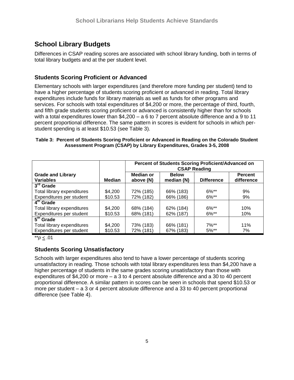# **School Library Budgets**

Differences in CSAP reading scores are associated with school library funding, both in terms of total library budgets and at the per student level.

## **Students Scoring Proficient or Advanced**

Elementary schools with larger expenditures (and therefore more funding per student) tend to have a higher percentage of students scoring proficient or advanced in reading. Total library expenditures include funds for library materials as well as funds for other programs and services. For schools with total expenditures of \$4,200 or more, the percentage of third, fourth, and fifth grade students scoring proficient or advanced is consistently higher than for schools with a total expenditures lower than \$4,200 – a 6 to 7 percent absolute difference and a 9 to 11 percent proportional difference. The same pattern in scores is evident for schools in which perstudent spending is at least \$10.53 (see Table 3).

#### **Table 3: Percent of Students Scoring Proficient or Advanced in Reading on the Colorado Student Assessment Program (CSAP) by Library Expenditures, Grades 3-5, 2008**

|                                              |         | Percent of Students Scoring Proficient/Advanced on<br><b>CSAP Reading</b> |                            |                   |                              |  |
|----------------------------------------------|---------|---------------------------------------------------------------------------|----------------------------|-------------------|------------------------------|--|
| <b>Grade and Library</b><br><b>Variables</b> | Median  | Median or<br>above (N)                                                    | <b>Below</b><br>median (N) | <b>Difference</b> | <b>Percent</b><br>difference |  |
| $3^{ra}$ Grade                               |         |                                                                           |                            |                   |                              |  |
| Total library expenditures                   | \$4,200 | 72% (185)                                                                 | 66% (183)                  | $6\%**$           | 9%                           |  |
| Expenditures per student                     | \$10.53 | 72% (182)                                                                 | 66% (186)                  | $6\%**$           | 9%                           |  |
| $\overline{4^{th}}$ Grade                    |         |                                                                           |                            |                   |                              |  |
| Total library expenditures                   | \$4,200 | 68% (184)                                                                 | 62% (184)                  | $6\%**$           | 10%                          |  |
| Expenditures per student                     | \$10.53 | 68% (181)                                                                 | 62% (187)                  | $6\%$ **          | 10%                          |  |
| $\overline{5}^{\text{th}}$ Grade             |         |                                                                           |                            |                   |                              |  |
| Total library expenditures                   | \$4,200 | 73% (183)                                                                 | 66% (181)                  | $7\%**$           | 11%                          |  |
| Expenditures per student                     | \$10.53 | 72% (181)                                                                 | 67% (183)                  | $5\%**$           | 7%                           |  |

\*\**p* < .01

## **Students Scoring Unsatisfactory**

Schools with larger expenditures also tend to have a lower percentage of students scoring unsatisfactory in reading. Those schools with total library expenditures less than \$4,200 have a higher percentage of students in the same grades scoring unsatisfactory than those with expenditures of \$4,200 or more – a 3 to 4 percent absolute difference and a 30 to 40 percent proportional difference. A similar pattern in scores can be seen in schools that spend \$10.53 or more per student – a 3 or 4 percent absolute difference and a 33 to 40 percent proportional difference (see Table 4).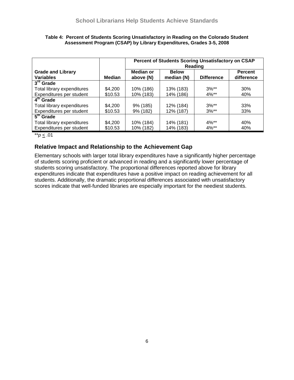|                                              |         | Percent of Students Scoring Unsatisfactory on CSAP<br>Reading |                            |                   |                              |  |
|----------------------------------------------|---------|---------------------------------------------------------------|----------------------------|-------------------|------------------------------|--|
| <b>Grade and Library</b><br><b>Variables</b> | Median  | Median or<br>above (N)                                        | <b>Below</b><br>median (N) | <b>Difference</b> | <b>Percent</b><br>difference |  |
| $3rd$ Grade                                  |         |                                                               |                            |                   |                              |  |
| Total library expenditures                   | \$4,200 | 10% (186)                                                     | 13% (183)                  | $3\%**$           | 30%                          |  |
| Expenditures per student                     | \$10.53 | 10% (183)                                                     | 14% (186)                  | $4\%**$           | 40%                          |  |
| 4 <sup>th</sup> Grade                        |         |                                                               |                            |                   |                              |  |
| Total library expenditures                   | \$4,200 | 9% (185)                                                      | 12% (184)                  | $3\%**$           | 33%                          |  |
| Expenditures per student                     | \$10.53 | $9\%$ (182)                                                   | 12% (187)                  | $3\%**$           | 33%                          |  |
| $\overline{5}^{\text{th}}$ Grade             |         |                                                               |                            |                   |                              |  |
| Total library expenditures                   | \$4,200 | 10% (184)                                                     | 14% (181)                  | $4\%**$           | 40%                          |  |
| Expenditures per student                     | \$10.53 | 10% (182)                                                     | 14% (183)                  | $4\%**$           | 40%                          |  |

#### **Table 4: Percent of Students Scoring Unsatisfactory in Reading on the Colorado Student Assessment Program (CSAP) by Library Expenditures, Grades 3-5, 2008**

\*\**p* < .01

## **Relative Impact and Relationship to the Achievement Gap**

Elementary schools with larger total library expenditures have a significantly higher percentage of students scoring proficient or advanced in reading and a significantly lower percentage of students scoring unsatisfactory. The proportional differences reported above for library expenditures indicate that expenditures have a positive impact on reading achievement for all students. Additionally, the dramatic proportional differences associated with unsatisfactory scores indicate that well-funded libraries are especially important for the neediest students.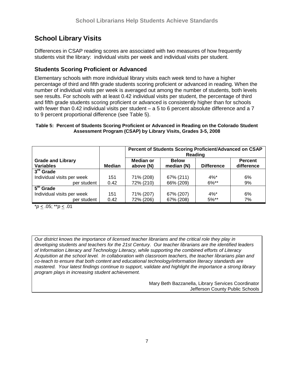# **School Library Visits**

Differences in CSAP reading scores are associated with two measures of how frequently students visit the library: individual visits per week and individual visits per student.

## **Students Scoring Proficient or Advanced**

Elementary schools with more individual library visits each week tend to have a higher percentage of third and fifth grade students scoring proficient or advanced in reading. When the number of individual visits per week is averaged out among the number of students, both levels see results. For schools with at least 0.42 individual visits per student, the percentage of third and fifth grade students scoring proficient or advanced is consistently higher than for schools with fewer than 0.42 individual visits per student – a 5 to 6 percent absolute difference and a 7 to 9 percent proportional difference (see Table 5).

#### **Table 5: Percent of Students Scoring Proficient or Advanced in Reading on the Colorado Student Assessment Program (CSAP) by Library Visits, Grades 3-5, 2008**

|                                              |               | Percent of Students Scoring Proficient/Advanced on CSAP<br>Reading |                            |                   |                              |  |
|----------------------------------------------|---------------|--------------------------------------------------------------------|----------------------------|-------------------|------------------------------|--|
| <b>Grade and Library</b><br><b>Variables</b> | <b>Median</b> | Median or<br>above (N)                                             | <b>Below</b><br>median (N) | <b>Difference</b> | <b>Percent</b><br>difference |  |
| $3^{\text{rd}}$ Grade                        |               |                                                                    |                            |                   |                              |  |
| Individual visits per week                   | 151           | 71% (208)                                                          | 67% (211)                  | $4\%$ *           | 6%                           |  |
| per student                                  | 0.42          | 72% (210)                                                          | 66% (209)                  | $6\%**$           | 9%                           |  |
| 5 <sup>th</sup> Grade                        |               |                                                                    |                            |                   |                              |  |
| Individual visits per week                   | 151           | 71% (207)                                                          | 67% (207)                  | $4\%$ *           | 6%                           |  |
| per student                                  | 0.42          | 72% (206)                                                          | 67% (208)                  | $5\%**$           | 7%                           |  |

\**p* < .05; \*\**p* < .01

*Our district knows the importance of licensed teacher librarians and the critical role they play in developing students and teachers for the 21st Century. Our teacher librarians are the identified leaders of Information Literacy and Technology Literacy, while supporting the combined efforts of Literacy Acquisition at the school level. In collaboration with classroom teachers, the teacher librarians plan and co-teach to ensure that both content and educational technology/information literacy standards are mastered. Your latest findings continue to support, validate and highlight the importance a strong library program plays in increasing student achievement.*

> Mary Beth Bazzanella, Library Services Coordinator Jefferson County Public Schools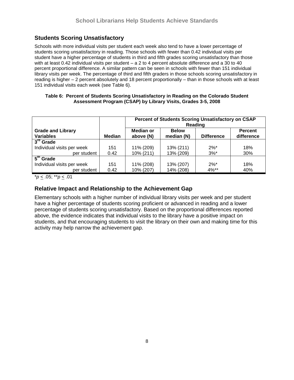## **Students Scoring Unsatisfactory**

Schools with more individual visits per student each week also tend to have a lower percentage of students scoring unsatisfactory in reading. Those schools with fewer than 0.42 individual visits per student have a higher percentage of students in third and fifth grades scoring unsatisfactory than those with at least 0.42 individual visits per student – a 2 to 4 percent absolute difference and a 30 to 40 percent proportional difference. A similar pattern can be seen in schools with fewer than 151 individual library visits per week. The percentage of third and fifth graders in those schools scoring unsatisfactory in reading is higher – 2 percent absolutely and 18 percent proportionally – than in those schools with at least 151 individual visits each week (see Table 6).

#### **Table 6: Percent of Students Scoring Unsatisfactory in Reading on the Colorado Student Assessment Program (CSAP) by Library Visits, Grades 3-5, 2008**

|                                  |               | Percent of Students Scoring Unsatisfactory on CSAP<br>Reading |              |                    |                |  |
|----------------------------------|---------------|---------------------------------------------------------------|--------------|--------------------|----------------|--|
| <b>Grade and Library</b>         |               | Median or                                                     | <b>Below</b> |                    | <b>Percent</b> |  |
| <b>Variables</b>                 | <b>Median</b> | above (N)                                                     | median (N)   | <b>Difference</b>  | difference     |  |
| 3 <sup>rd</sup> Grade            |               |                                                               |              |                    |                |  |
| Individual visits per week       | 151           | 11% (209)                                                     | 13% (211)    | $2\%$ <sup>*</sup> | 18%            |  |
| per student                      | 0.42          | 10% (211)                                                     | 13% (209)    | $3%^*$             | 30%            |  |
| $\overline{5}^{\text{th}}$ Grade |               |                                                               |              |                    |                |  |
| Individual visits per week       | 151           | 11% (208)                                                     | 13% (207)    | $2\%$ <sup>*</sup> | 18%            |  |
| per student                      | 0.42          | 10% (207)                                                     | 14% (208)    | 4%**               | 40%            |  |

\**p* < .05; \*\**p* < .01

## **Relative Impact and Relationship to the Achievement Gap**

Elementary schools with a higher number of individual library visits per week and per student have a higher percentage of students scoring proficient or advanced in reading and a lower percentage of students scoring unsatisfactory. Based on the proportional differences reported above, the evidence indicates that individual visits to the library have a positive impact on students, and that encouraging students to visit the library on their own and making time for this activity may help narrow the achievement gap.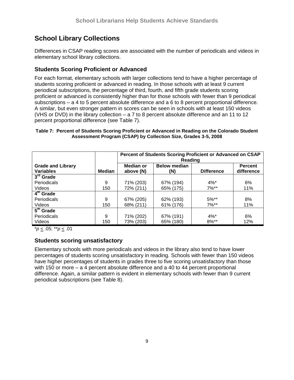# **School Library Collections**

Differences in CSAP reading scores are associated with the number of periodicals and videos in elementary school library collections.

## **Students Scoring Proficient or Advanced**

For each format, elementary schools with larger collections tend to have a higher percentage of students scoring proficient or advanced in reading. In those schools with at least 9 current periodical subscriptions, the percentage of third, fourth, and fifth grade students scoring proficient or advanced is consistently higher than for those schools with fewer than 9 periodical subscriptions – a 4 to 5 percent absolute difference and a 6 to 8 percent proportional difference. A similar, but even stronger pattern in scores can be seen in schools with at least 150 videos (VHS or DVD) in the library collection – a 7 to 8 percent absolute difference and an 11 to 12 percent proportional difference (see Table 7).

### **Table 7: Percent of Students Scoring Proficient or Advanced in Reading on the Colorado Student Assessment Program (CSAP) by Collection Size, Grades 3-5, 2008**

|                                              |               | Percent of Students Scoring Proficient or Advanced on CSAP<br>Reading |                            |                   |                              |  |
|----------------------------------------------|---------------|-----------------------------------------------------------------------|----------------------------|-------------------|------------------------------|--|
| <b>Grade and Library</b><br><b>Variables</b> | <b>Median</b> | <b>Median or</b><br>above (N)                                         | <b>Below median</b><br>(N) | <b>Difference</b> | <b>Percent</b><br>difference |  |
| $3rd$ Grade                                  |               |                                                                       |                            |                   |                              |  |
| Periodicals                                  | 9             | 71% (203)                                                             | 67% (194)                  | $4%$ *            | 6%                           |  |
| <b>Videos</b>                                | 150           | 72% (211)                                                             | 65% (175)                  | $7\%**$           | 11%                          |  |
| $4th$ Grade                                  |               |                                                                       |                            |                   |                              |  |
| Periodicals                                  | 9             | 67% (205)                                                             | 62% (193)                  | $5%^{**}$         | 8%                           |  |
| Videos                                       | 150           | 68% (211)                                                             | 61% (176)                  | $7\%**$           | 11%                          |  |
| $\overline{5}^{\text{th}}$ Grade             |               |                                                                       |                            |                   |                              |  |
| Periodicals                                  | 9             | 71% (202)                                                             | 67% (191)                  | $4\%$ *           | 6%                           |  |
| <b>Videos</b>                                | 150           | 73% (203)                                                             | 65% (180)                  | $8\%**$           | 12%                          |  |

\**p* < .05; \*\**p* < .01

## **Students scoring unsatisfactory**

Elementary schools with more periodicals and videos in the library also tend to have lower percentages of students scoring unsatisfactory in reading. Schools with fewer than 150 videos have higher percentages of students in grades three to five scoring unsatisfactory than those with 150 or more – a 4 percent absolute difference and a 40 to 44 percent proportional difference. Again, a similar pattern is evident in elementary schools with fewer than 9 current periodical subscriptions (see Table 8).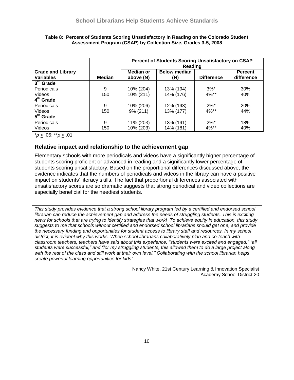|                                              |        | Percent of Students Scoring Unsatisfactory on CSAP<br>Reading |                            |                    |                              |  |
|----------------------------------------------|--------|---------------------------------------------------------------|----------------------------|--------------------|------------------------------|--|
| <b>Grade and Library</b><br><b>Variables</b> | Median | <b>Median or</b><br>above (N)                                 | <b>Below median</b><br>(N) | <b>Difference</b>  | <b>Percent</b><br>difference |  |
| $3rd$ Grade                                  |        |                                                               |                            |                    |                              |  |
| Periodicals                                  | 9      | 10% (204)                                                     | 13% (194)                  | $3%^*$             | 30%                          |  |
| Videos                                       | 150    | 10% (211)                                                     | 14% (176)                  | $4\%**$            | 40%                          |  |
| 4 <sup>th</sup> Grade                        |        |                                                               |                            |                    |                              |  |
| Periodicals                                  | 9      | 10% (206)                                                     | 12% (193)                  | $2\%$ <sup>*</sup> | 20%                          |  |
| Videos                                       | 150    | 9% (211)                                                      | 13% (177)                  | $4\%**$            | 44%                          |  |
| $\overline{5}^{\text{th}}$ Grade             |        |                                                               |                            |                    |                              |  |
| Periodicals                                  | 9      | 11% (203)                                                     | 13% (191)                  | $2\%^*$            | 18%                          |  |
| Videos                                       | 150    | 10% (203)                                                     | 14% (181)                  | 4%**               | 40%                          |  |

#### **Table 8: Percent of Students Scoring Unsatisfactory in Reading on the Colorado Student Assessment Program (CSAP) by Collection Size, Grades 3-5, 2008**

\**p* < .05; \*\**p* < .01

## **Relative impact and relationship to the achievement gap**

Elementary schools with more periodicals and videos have a significantly higher percentage of students scoring proficient or advanced in reading and a significantly lower percentage of students scoring unsatisfactory. Based on the proportional differences discussed above, the evidence indicates that the numbers of periodicals and videos in the library can have a positive impact on students' literacy skills. The fact that proportional differences associated with unsatisfactory scores are so dramatic suggests that strong periodical and video collections are especially beneficial for the neediest students.

*This study provides evidence that a strong school library program led by a certified and endorsed school librarian can reduce the achievement gap and address the needs of struggling students. This is exciting news for schools that are trying to identify strategies that work! To achieve equity in education, this study suggests to me that schools without certified and endorsed school librarians should get one, and provide the necessary funding and opportunities for student access to library staff and resources. In my school district, it is evident why this works. When school librarians collaboratively plan and co-teach with classroom teachers, teachers have said about this experience, "students were excited and engaged," "all students were successful," and "for my struggling students, this allowed them to do a large project along with the rest of the class and still work at their own level." Collaborating with the school librarian helps create powerful learning opportunities for kids!*

> Nancy White, 21st Century Learning & Innovation Specialist Academy School District 20